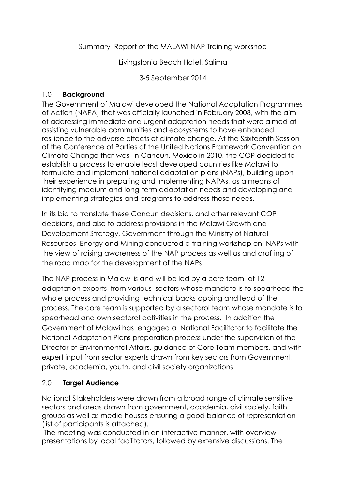### Summary Report of the MALAWI NAP Training workshop

Livingstonia Beach Hotel, Salima

3-5 September 2014

## 1.0 **Background**

The Government of Malawi developed the National Adaptation Programmes of Action (NAPA) that was officially launched in February 2008, with the aim of addressing immediate and urgent adaptation needs that were aimed at assisting vulnerable communities and ecosystems to have enhanced resilience to the adverse effects of climate change. At the Ssixteenth Session of the Conference of Parties of the United Nations Framework Convention on Climate Change that was in Cancun, Mexico in 2010, the COP decided to establish a process to enable least developed countries like Malawi to formulate and implement national adaptation plans (NAPs), building upon their experience in preparing and implementing NAPAs, as a means of identifying medium and long-term adaptation needs and developing and implementing strategies and programs to address those needs.

In its bid to translate these Cancun decisions, and other relevant COP decisions, and also to address provisions in the Malawi Growth and Development Strategy, Government through the Ministry of Natural Resources, Energy and Mining conducted a training workshop on NAPs with the view of raising awareness of the NAP process as well as and drafting of the road map for the development of the NAPs.

The NAP process in Malawi is and will be led by a core team of 12 adaptation experts from various sectors whose mandate is to spearhead the whole process and providing technical backstopping and lead of the process. The core team is supported by a sectorol team whose mandate is to spearhead and own sectoral activities in the process. In addition the Government of Malawi has engaged a National Facilitator to facilitate the National Adaptation Plans preparation process under the supervision of the Director of Environmental Affairs, guidance of Core Team members, and with expert input from sector experts drawn from key sectors from Government, private, academia, youth, and civil society organizations

# 2.0 **Target Audience**

National Stakeholders were drawn from a broad range of climate sensitive sectors and areas drawn from government, academia, civil society, faith groups as well as media houses ensuring a good balance of representation (list of participants is attached).

The meeting was conducted in an interactive manner, with overview presentations by local facilitators, followed by extensive discussions. The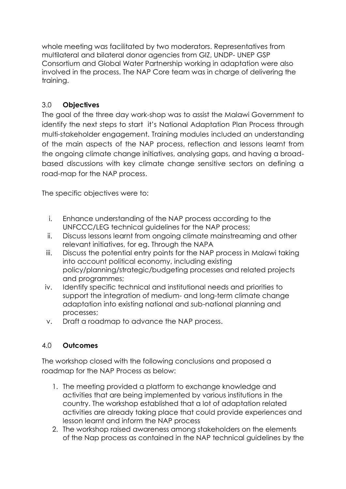whole meeting was facilitated by two moderators. Representatives from multilateral and bilateral donor agencies from GIZ, UNDP- UNEP GSP Consortium and Global Water Partnership working in adaptation were also involved in the process. The NAP Core team was in charge of delivering the training.

# 3.0 **Objectives**

The goal of the three day work-shop was to assist the Malawi Government to identify the next steps to start it's National Adaptation Plan Process through multi-stakeholder engagement. Training modules included an understanding of the main aspects of the NAP process, reflection and lessons learnt from the ongoing climate change initiatives, analysing gaps, and having a broadbased discussions with key climate change sensitive sectors on defining a road-map for the NAP process.

The specific objectives were to:

- i. Enhance understanding of the NAP process according to the UNFCCC/LEG technical guidelines for the NAP process;
- ii. Discuss lessons learnt from ongoing climate mainstreaming and other relevant initiatives, for eg. Through the NAPA
- iii. Discuss the potential entry points for the NAP process in Malawi taking into account political economy, including existing policy/planning/strategic/budgeting processes and related projects and programmes;
- iv. Identify specific technical and institutional needs and priorities to support the integration of medium- and long-term climate change adaptation into existing national and sub-national planning and processes;
- v. Draft a roadmap to advance the NAP process.

# 4.0 **Outcomes**

The workshop closed with the following conclusions and proposed a roadmap for the NAP Process as below:

- 1. The meeting provided a platform to exchange knowledge and activities that are being implemented by various institutions in the country. The workshop established that a lot of adaptation related activities are already taking place that could provide experiences and lesson learnt and inform the NAP process
- 2. The workshop raised awareness among stakeholders on the elements of the Nap process as contained in the NAP technical guidelines by the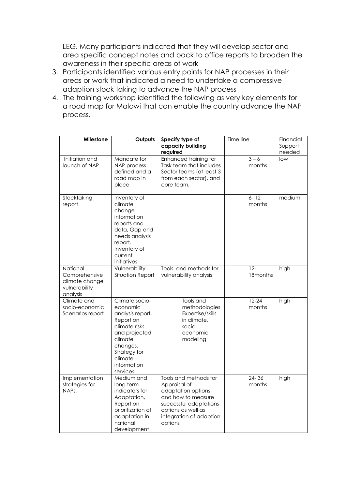LEG. Many participants indicated that they will develop sector and area specific concept notes and back to office reports to broaden the awareness in their specific areas of work

- 3. Participants identified various entry points for NAP processes in their areas or work that indicated a need to undertake a compressive adaption stock taking to advance the NAP process
- 4. The training workshop identified the following as very key elements for a road map for Malawi that can enable the country advance the NAP process.

| Milestone                                                                | Outputs                                                                                                                                                                     | Specify type of<br>capacity building<br>required                                                                                                                        | Time line           | Financial<br>Support<br>needed |
|--------------------------------------------------------------------------|-----------------------------------------------------------------------------------------------------------------------------------------------------------------------------|-------------------------------------------------------------------------------------------------------------------------------------------------------------------------|---------------------|--------------------------------|
| Initiation and<br>launch of NAP                                          | Mandate for<br>NAP process<br>defined and a<br>road map in<br>place                                                                                                         | Enhanced training for<br>Task team that includes<br>Sector teams (at least 3<br>from each sector), and<br>core team.                                                    | $3 - 6$<br>months   | low                            |
| Stocktaking<br>report                                                    | Inventory of<br>climate<br>change<br>information<br>reports and<br>data, Gap and<br>needs analysis<br>report.<br>Inventory of<br>current<br>initiatives                     |                                                                                                                                                                         | $6 - 12$<br>months  | medium                         |
| National<br>Comprehensive<br>climate change<br>vulnerability<br>analysis | Vulnerability<br>Situation Report                                                                                                                                           | Tools and methods for<br>vulnerability analysis                                                                                                                         | $12-$<br>18months   | high                           |
| Climate and<br>socio-economic<br>Scenarios report                        | Climate socio-<br>economic<br>analysis report,<br>Report on<br>climate risks<br>and projected<br>climate<br>changes,<br>Strategy for<br>climate<br>information<br>services. | Tools and<br>methodologies<br>Expertise/skills<br>in climate,<br>socio-<br>economic<br>modeling                                                                         | $12 - 24$<br>months | high                           |
| Implementation<br>strategies for<br>NAP <sub>s</sub>                     | Medium and<br>long term<br>indicators for<br>Adaptation,<br>Report on<br>prioritization of<br>adaptation in<br>national<br>development                                      | Tools and methods for<br>Appraisal of<br>adaptation options<br>and how to measure<br>successful adaptations<br>options as well as<br>integration of adaption<br>options | $24 - 36$<br>months | high                           |